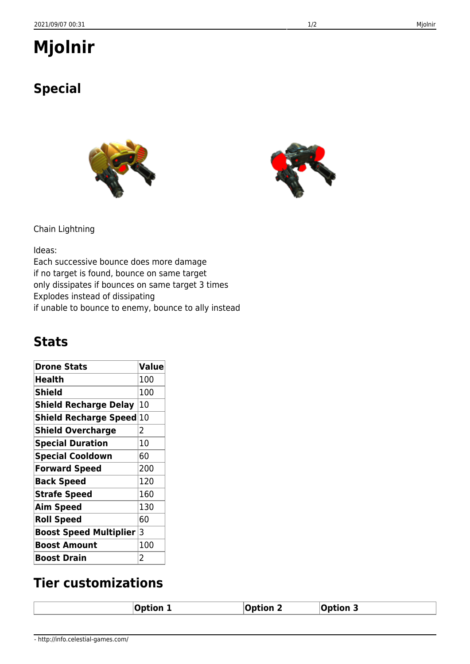## **Mjolnir**

## **Special**

| Chain Lightning |
|-----------------|
|-----------------|

Ideas:

Each successive bounce does more damage if no target is found, bounce on same target only dissipates if bounces on same target 3 times Explodes instead of dissipating if unable to bounce to enemy, bounce to ally instead

## **Stats**

| <b>Drone Stats</b>              | <b>Value</b>   |
|---------------------------------|----------------|
| Health                          | 100            |
| <b>Shield</b>                   | 100            |
| <b>Shield Recharge Delay</b>    | 10             |
| <b>Shield Recharge Speed 10</b> |                |
| <b>Shield Overcharge</b>        | 2              |
| <b>Special Duration</b>         | 10             |
| <b>Special Cooldown</b>         | 60             |
| <b>Forward Speed</b>            | 200            |
| <b>Back Speed</b>               | 120            |
| <b>Strafe Speed</b>             | 160            |
| <b>Aim Speed</b>                | 130            |
| <b>Roll Speed</b>               | 60             |
| <b>Boost Speed Multiplier</b>   | 13             |
| <b>Boost Amount</b>             | 100            |
| <b>Boost Drain</b>              | $\overline{2}$ |

## **Tier customizations**

| <b>Option 1</b> | $\lambda$ ption $\lambda$ | <sub>່</sub> ∩otion د |
|-----------------|---------------------------|-----------------------|
|                 |                           |                       |